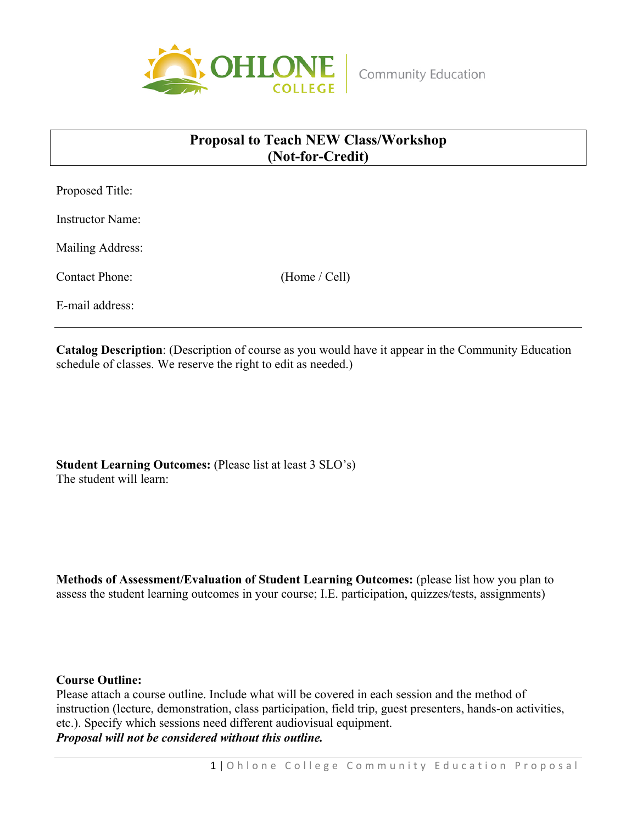

## **Proposal to Teach NEW Class/Workshop (Not-for-Credit)**

Proposed Title:

Instructor Name:

Mailing Address:

Contact Phone: (Home / Cell)

E-mail address:

**Catalog Description**: (Description of course as you would have it appear in the Community Education schedule of classes. We reserve the right to edit as needed.)

**Student Learning Outcomes:** (Please list at least 3 SLO's) The student will learn:

**Methods of Assessment/Evaluation of Student Learning Outcomes:** (please list how you plan to assess the student learning outcomes in your course; I.E. participation, quizzes/tests, assignments)

## **Course Outline:**

Please attach a course outline. Include what will be covered in each session and the method of instruction (lecture, demonstration, class participation, field trip, guest presenters, hands-on activities, etc.). Specify which sessions need different audiovisual equipment. *Proposal will not be considered without this outline.*